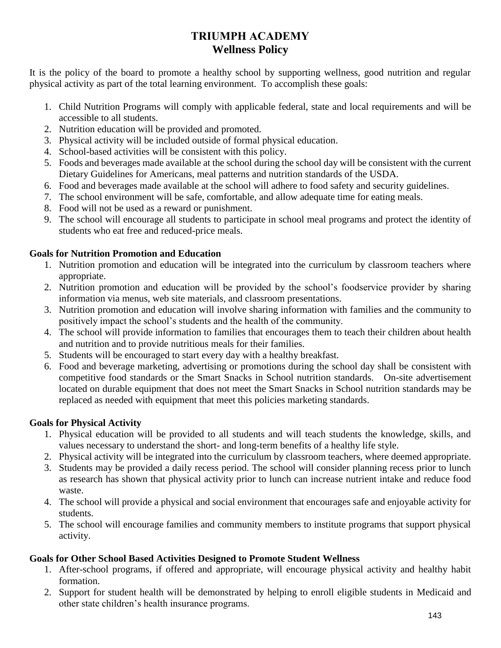# **TRIUMPH ACADEMY Wellness Policy**

It is the policy of the board to promote a healthy school by supporting wellness, good nutrition and regular physical activity as part of the total learning environment. To accomplish these goals:

- 1. Child Nutrition Programs will comply with applicable federal, state and local requirements and will be accessible to all students.
- 2. Nutrition education will be provided and promoted.
- 3. Physical activity will be included outside of formal physical education.
- 4. School-based activities will be consistent with this policy.
- 5. Foods and beverages made available at the school during the school day will be consistent with the current Dietary Guidelines for Americans, meal patterns and nutrition standards of the USDA.
- 6. Food and beverages made available at the school will adhere to food safety and security guidelines.
- 7. The school environment will be safe, comfortable, and allow adequate time for eating meals.
- 8. Food will not be used as a reward or punishment.
- 9. The school will encourage all students to participate in school meal programs and protect the identity of students who eat free and reduced-price meals.

## **Goals for Nutrition Promotion and Education**

- 1. Nutrition promotion and education will be integrated into the curriculum by classroom teachers where appropriate.
- 2. Nutrition promotion and education will be provided by the school's foodservice provider by sharing information via menus, web site materials, and classroom presentations.
- 3. Nutrition promotion and education will involve sharing information with families and the community to positively impact the school's students and the health of the community.
- 4. The school will provide information to families that encourages them to teach their children about health and nutrition and to provide nutritious meals for their families.
- 5. Students will be encouraged to start every day with a healthy breakfast.
- 6. Food and beverage marketing, advertising or promotions during the school day shall be consistent with competitive food standards or the Smart Snacks in School nutrition standards. On-site advertisement located on durable equipment that does not meet the Smart Snacks in School nutrition standards may be replaced as needed with equipment that meet this policies marketing standards.

## **Goals for Physical Activity**

- 1. Physical education will be provided to all students and will teach students the knowledge, skills, and values necessary to understand the short- and long-term benefits of a healthy life style.
- 2. Physical activity will be integrated into the curriculum by classroom teachers, where deemed appropriate.
- 3. Students may be provided a daily recess period. The school will consider planning recess prior to lunch as research has shown that physical activity prior to lunch can increase nutrient intake and reduce food waste.
- 4. The school will provide a physical and social environment that encourages safe and enjoyable activity for students.
- 5. The school will encourage families and community members to institute programs that support physical activity.

### **Goals for Other School Based Activities Designed to Promote Student Wellness**

- 1. After-school programs, if offered and appropriate, will encourage physical activity and healthy habit formation.
- 2. Support for student health will be demonstrated by helping to enroll eligible students in Medicaid and other state children's health insurance programs.